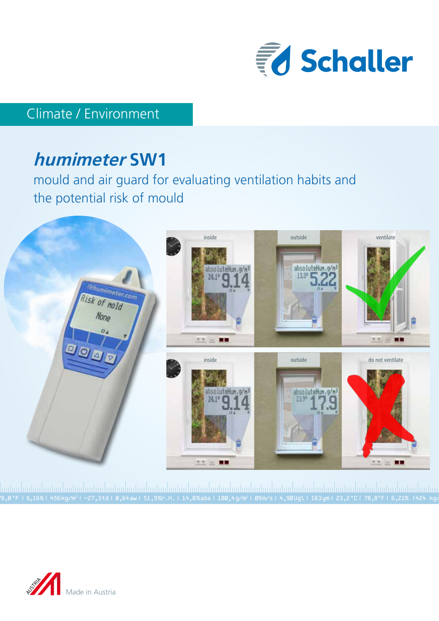

# Climate / Environment

# **humimeter SW1**

mould and air guard for evaluating ventilation habits and the potential risk of mould



78,0 °F | 6,16%| 456 kg/m3 | -27,3 td| 0,64 aw| 51,9 %r.H.| 14,8 % abs| 100,4 g/m2 | 09 m/s| 4,90 Ugl| 163 ym| 23,2 °C| 78,8°F| 6,21% |424 kg/m